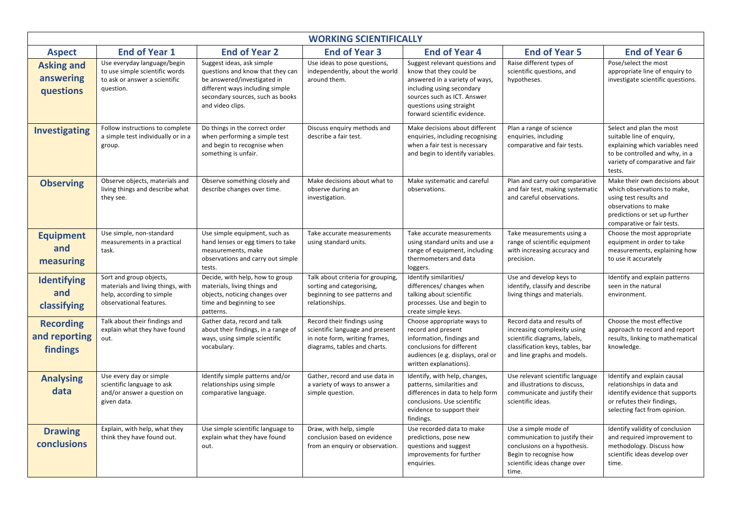| <b>WORKING SCIENTIFICALLY</b>                 |                                                                                                                      |                                                                                                                                                                                         |                                                                                                                                 |                                                                                                                                                                                                                     |                                                                                                                                                              |                                                                                                                                                                                |  |
|-----------------------------------------------|----------------------------------------------------------------------------------------------------------------------|-----------------------------------------------------------------------------------------------------------------------------------------------------------------------------------------|---------------------------------------------------------------------------------------------------------------------------------|---------------------------------------------------------------------------------------------------------------------------------------------------------------------------------------------------------------------|--------------------------------------------------------------------------------------------------------------------------------------------------------------|--------------------------------------------------------------------------------------------------------------------------------------------------------------------------------|--|
| <b>Aspect</b>                                 | <b>End of Year 1</b><br><b>End of Year 2</b>                                                                         |                                                                                                                                                                                         | <b>End of Year 3</b>                                                                                                            | <b>End of Year 4</b>                                                                                                                                                                                                | <b>End of Year 5</b>                                                                                                                                         | <b>End of Year 6</b>                                                                                                                                                           |  |
| <b>Asking and</b><br>answering<br>questions   | Use everyday language/begin<br>to use simple scientific words<br>to ask or answer a scientific<br>question.          | Suggest ideas, ask simple<br>questions and know that they can<br>be answered/investigated in<br>different ways including simple<br>secondary sources, such as books<br>and video clips. | Use ideas to pose questions,<br>independently, about the world<br>around them.                                                  | Suggest relevant questions and<br>know that they could be<br>answered in a variety of ways,<br>including using secondary<br>sources such as ICT. Answer<br>questions using straight<br>forward scientific evidence. | Raise different types of<br>scientific questions, and<br>hypotheses.                                                                                         | Pose/select the most<br>appropriate line of enquiry to<br>investigate scientific questions.                                                                                    |  |
| <b>Investigating</b>                          | Follow instructions to complete<br>a simple test individually or in a<br>group.                                      | Do things in the correct order<br>when performing a simple test<br>and begin to recognise when<br>something is unfair.                                                                  | Discuss enquiry methods and<br>describe a fair test.                                                                            | Make decisions about different<br>enquiries, including recognising<br>when a fair test is necessary<br>and begin to identify variables.                                                                             | Plan a range of science<br>enquiries, including<br>comparative and fair tests.                                                                               | Select and plan the most<br>suitable line of enquiry,<br>explaining which variables need<br>to be controlled and why, in a<br>variety of comparative and fair<br>tests.        |  |
| <b>Observing</b>                              | Observe objects, materials and<br>living things and describe what<br>they see.                                       | Observe something closely and<br>describe changes over time.                                                                                                                            |                                                                                                                                 | Make systematic and careful<br>observations.                                                                                                                                                                        | Plan and carry out comparative<br>and fair test, making systematic<br>and careful observations.                                                              | Make their own decisions about<br>which observations to make,<br>using test results and<br>observations to make<br>predictions or set up further<br>comparative or fair tests. |  |
| <b>Equipment</b><br>and<br>measuring          | Use simple, non-standard<br>measurements in a practical<br>task.                                                     | Use simple equipment, such as<br>hand lenses or egg timers to take<br>measurements, make<br>observations and carry out simple<br>tests.                                                 | Take accurate measurements<br>using standard units.                                                                             | Take accurate measurements<br>using standard units and use a<br>range of equipment, including<br>thermometers and data<br>loggers.                                                                                  | Take measurements using a<br>range of scientific equipment<br>with increasing accuracy and<br>precision.                                                     | Choose the most appropriate<br>equipment in order to take<br>measurements, explaining how<br>to use it accurately                                                              |  |
| Identifying<br>and<br>classifying             | Sort and group objects,<br>materials and living things, with<br>help, according to simple<br>observational features. | Decide, with help, how to group<br>materials, living things and<br>objects, noticing changes over<br>time and beginning to see<br>patterns.                                             | Talk about criteria for grouping,<br>sorting and categorising,<br>beginning to see patterns and<br>relationships.               | Identify similarities/<br>differences/ changes when<br>talking about scientific<br>processes. Use and begin to<br>create simple keys.                                                                               | Use and develop keys to<br>identify, classify and describe<br>living things and materials.                                                                   | Identify and explain patterns<br>seen in the natural<br>environment.                                                                                                           |  |
| <b>Recording</b><br>and reporting<br>findings | Talk about their findings and<br>explain what they have found<br>out.                                                | Gather data, record and talk<br>about their findings, in a range of<br>ways, using simple scientific<br>vocabulary.                                                                     | Record their findings using<br>scientific language and present<br>in note form, writing frames,<br>diagrams, tables and charts. | Choose appropriate ways to<br>record and present<br>information, findings and<br>conclusions for different<br>audiences (e.g. displays, oral or<br>written explanations).                                           | Record data and results of<br>increasing complexity using<br>scientific diagrams, labels,<br>classification keys, tables, bar<br>and line graphs and models. | Choose the most effective<br>approach to record and report<br>results, linking to mathematical<br>knowledge.                                                                   |  |
| <b>Analysing</b><br>data                      | Use every day or simple<br>scientific language to ask<br>and/or answer a question on<br>given data.                  | Identify simple patterns and/or<br>relationships using simple<br>comparative language.                                                                                                  | Gather, record and use data in<br>a variety of ways to answer a<br>simple question.                                             | Identify, with help, changes,<br>patterns, similarities and<br>differences in data to help form<br>conclusions. Use scientific<br>evidence to support their<br>findings.                                            | Use relevant scientific language<br>and illustrations to discuss,<br>communicate and justify their<br>scientific ideas.                                      | Identify and explain causal<br>relationships in data and<br>identify evidence that supports<br>or refutes their findings,<br>selecting fact from opinion.                      |  |
| <b>Drawing</b><br>conclusions                 | Explain, with help, what they<br>think they have found out.                                                          | Use simple scientific language to<br>explain what they have found<br>out.                                                                                                               | Draw, with help, simple<br>conclusion based on evidence<br>from an enquiry or observation.                                      | Use recorded data to make<br>predictions, pose new<br>questions and suggest<br>improvements for further<br>enguiries.                                                                                               | Use a simple mode of<br>communication to justify their<br>conclusions on a hypothesis.<br>Begin to recognise how<br>scientific ideas change over<br>time.    | Identify validity of conclusion<br>and required improvement to<br>methodology. Discuss how<br>scientific ideas develop over<br>time.                                           |  |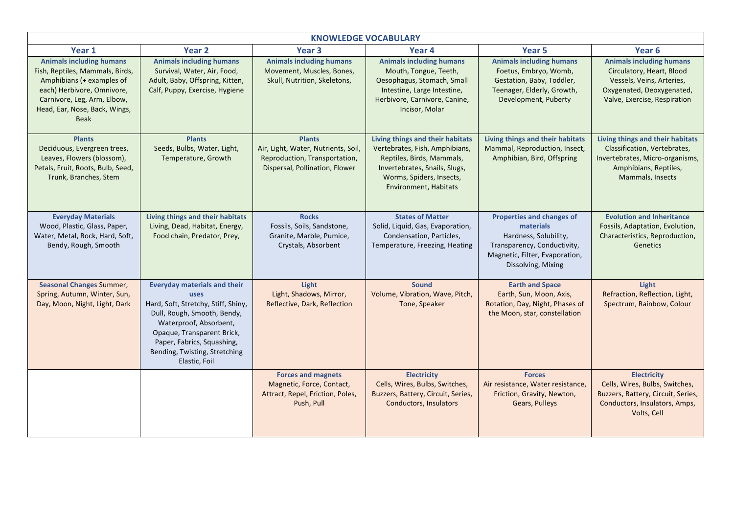| <b>KNOWLEDGE VOCABULARY</b>                                                                                                                                                                           |                                                                                                                                                                                                                                                           |                                                                                                                         |                                                                                                                                                                                              |                                                                                                                                                               |                                                                                                                                                        |  |  |
|-------------------------------------------------------------------------------------------------------------------------------------------------------------------------------------------------------|-----------------------------------------------------------------------------------------------------------------------------------------------------------------------------------------------------------------------------------------------------------|-------------------------------------------------------------------------------------------------------------------------|----------------------------------------------------------------------------------------------------------------------------------------------------------------------------------------------|---------------------------------------------------------------------------------------------------------------------------------------------------------------|--------------------------------------------------------------------------------------------------------------------------------------------------------|--|--|
| Year 1                                                                                                                                                                                                | Year 2                                                                                                                                                                                                                                                    | Year <sub>3</sub>                                                                                                       | Year 4                                                                                                                                                                                       | Year <sub>5</sub>                                                                                                                                             | Year 6                                                                                                                                                 |  |  |
| <b>Animals including humans</b><br>Fish, Reptiles, Mammals, Birds,<br>Amphibians (+ examples of<br>each) Herbivore, Omnivore,<br>Carnivore, Leg, Arm, Elbow,<br>Head, Ear, Nose, Back, Wings,<br>Beak | <b>Animals including humans</b><br>Survival, Water, Air, Food,<br>Adult, Baby, Offspring, Kitten,<br>Calf, Puppy, Exercise, Hygiene                                                                                                                       | <b>Animals including humans</b><br>Movement, Muscles, Bones,<br>Skull, Nutrition, Skeletons,                            | <b>Animals including humans</b><br>Mouth, Tongue, Teeth,<br>Oesophagus, Stomach, Small<br>Intestine, Large Intestine,<br>Herbivore, Carnivore, Canine,<br>Incisor, Molar                     | <b>Animals including humans</b><br>Foetus, Embryo, Womb,<br>Gestation, Baby, Toddler,<br>Teenager, Elderly, Growth,<br>Development, Puberty                   | <b>Animals including humans</b><br>Circulatory, Heart, Blood<br>Vessels, Veins, Arteries,<br>Oxygenated, Deoxygenated,<br>Valve, Exercise, Respiration |  |  |
| <b>Plants</b><br>Deciduous, Evergreen trees,<br>Leaves, Flowers (blossom),<br>Petals, Fruit, Roots, Bulb, Seed,<br>Trunk, Branches, Stem                                                              | <b>Plants</b><br>Seeds, Bulbs, Water, Light,<br>Temperature, Growth                                                                                                                                                                                       | <b>Plants</b><br>Air, Light, Water, Nutrients, Soil,<br>Reproduction, Transportation,<br>Dispersal, Pollination, Flower | Living things and their habitats<br>Vertebrates, Fish, Amphibians,<br>Reptiles, Birds, Mammals,<br>Invertebrates, Snails, Slugs,<br>Worms, Spiders, Insects,<br><b>Environment, Habitats</b> | Living things and their habitats<br>Mammal, Reproduction, Insect,<br>Amphibian, Bird, Offspring                                                               | Living things and their habitats<br>Classification, Vertebrates,<br>Invertebrates, Micro-organisms,<br>Amphibians, Reptiles,<br>Mammals, Insects       |  |  |
| <b>Everyday Materials</b><br>Wood, Plastic, Glass, Paper,<br>Water, Metal, Rock, Hard, Soft,<br>Bendy, Rough, Smooth                                                                                  | Living things and their habitats<br>Living, Dead, Habitat, Energy,<br>Food chain, Predator, Prey,                                                                                                                                                         | <b>Rocks</b><br>Fossils, Soils, Sandstone,<br>Granite, Marble, Pumice,<br>Crystals, Absorbent                           | <b>States of Matter</b><br>Solid, Liquid, Gas, Evaporation,<br>Condensation, Particles,<br>Temperature, Freezing, Heating                                                                    | <b>Properties and changes of</b><br>materials<br>Hardness, Solubility,<br>Transparency, Conductivity,<br>Magnetic, Filter, Evaporation,<br>Dissolving, Mixing | <b>Evolution and Inheritance</b><br>Fossils, Adaptation, Evolution,<br>Characteristics, Reproduction,<br>Genetics                                      |  |  |
| <b>Seasonal Changes Summer,</b><br>Spring, Autumn, Winter, Sun,<br>Day, Moon, Night, Light, Dark                                                                                                      | <b>Everyday materials and their</b><br>uses<br>Hard, Soft, Stretchy, Stiff, Shiny,<br>Dull, Rough, Smooth, Bendy,<br>Waterproof, Absorbent,<br>Opaque, Transparent Brick,<br>Paper, Fabrics, Squashing,<br>Bending, Twisting, Stretching<br>Elastic, Foil | Light<br>Light, Shadows, Mirror,<br>Reflective, Dark, Reflection                                                        | <b>Sound</b><br>Volume, Vibration, Wave, Pitch,<br>Tone, Speaker                                                                                                                             | <b>Earth and Space</b><br>Earth, Sun, Moon, Axis,<br>Rotation, Day, Night, Phases of<br>the Moon, star, constellation                                         | Light<br>Refraction, Reflection, Light,<br>Spectrum, Rainbow, Colour                                                                                   |  |  |
|                                                                                                                                                                                                       |                                                                                                                                                                                                                                                           | <b>Forces and magnets</b><br>Magnetic, Force, Contact,<br>Attract, Repel, Friction, Poles,<br>Push, Pull                | <b>Electricity</b><br>Cells, Wires, Bulbs, Switches,<br>Buzzers, Battery, Circuit, Series,<br><b>Conductors, Insulators</b>                                                                  | <b>Forces</b><br>Air resistance, Water resistance,<br>Friction, Gravity, Newton,<br>Gears, Pulleys                                                            | <b>Electricity</b><br>Cells, Wires, Bulbs, Switches,<br>Buzzers, Battery, Circuit, Series,<br>Conductors, Insulators, Amps,<br>Volts, Cell             |  |  |